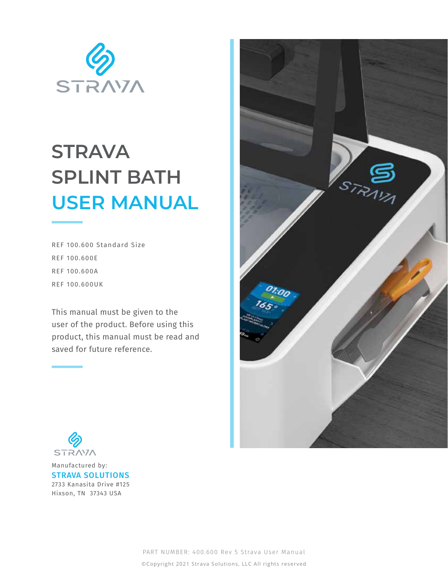

# **STRAVA SPLINT BATH USER MANUAL**

REF 100.600 Standard Size REF 100.600E REF 100.600A REF 100.600UK

This manual must be given to the user of the product. Before using this product, this manual must be read and saved for future reference.





Manufactured by: STRAVA SOLUTIONS 2733 Kanasita Drive #125 Hixson, TN 37343 USA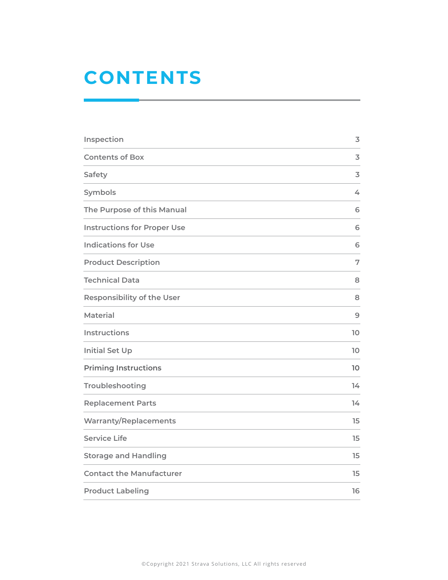## **CONTENTS**

| Inspection                         | $\overline{3}$ |
|------------------------------------|----------------|
| <b>Contents of Box</b>             | 3              |
| Safety                             | 3              |
| Symbols                            | 4              |
| The Purpose of this Manual         | 6              |
| <b>Instructions for Proper Use</b> | 6              |
| <b>Indications for Use</b>         | 6              |
| <b>Product Description</b>         | 7              |
| <b>Technical Data</b>              | 8              |
| <b>Responsibility of the User</b>  | 8              |
| <b>Material</b>                    | 9              |
| <b>Instructions</b>                | 10             |
| <b>Initial Set Up</b>              | 10             |
| <b>Priming Instructions</b>        | 10             |
| Troubleshooting                    | 14             |
| <b>Replacement Parts</b>           | 14             |
| <b>Warranty/Replacements</b>       | 15             |
| <b>Service Life</b>                | 15             |
| <b>Storage and Handling</b>        | 15             |
| <b>Contact the Manufacturer</b>    | 15             |
| <b>Product Labeling</b>            | 16             |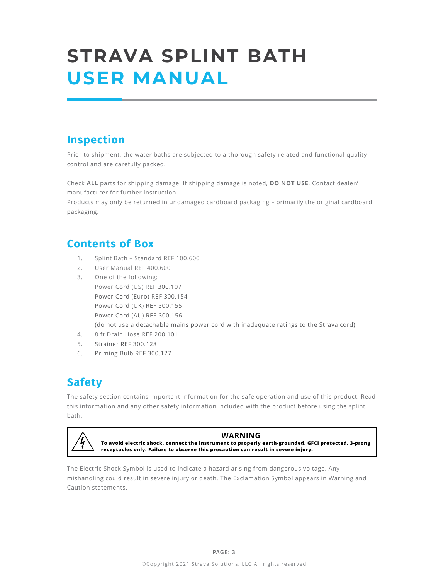# **STRAVA SPLINT BATH USER MANUAL**

## **Inspection**

Prior to shipment, the water baths are subjected to a thorough safety-related and functional quality control and are carefully packed.

Check **ALL** parts for shipping damage. If shipping damage is noted, **DO NOT USE**. Contact dealer/ manufacturer for further instruction.

Products may only be returned in undamaged cardboard packaging – primarily the original cardboard packaging.

## **Contents of Box**

- 1. Splint Bath Standard REF 100.600
- 2. User Manual REF 400.600
- 3. One of the following: Power Cord (US) REF 300.107 Power Cord (Euro) REF 300.154 Power Cord (UK) REF 300.155 Power Cord (AU) REF 300.156 (do not use a detachable mains power cord with inadequate ratings to the Strava cord)
- 4. 8 ft Drain Hose REF 200.101
- 5. Strainer REF 300.128
- 6. Priming Bulb REF 300.127

## **Safety**

The safety section contains important information for the safe operation and use of this product. Read this information and any other safety information included with the product before using the splint bath.



### **WARNING**

**To avoid electric shock, connect the instrument to properly earth-grounded, GFCI protected, 3-prong receptacles only. Failure to observe this precaution can result in severe injury.**

The Electric Shock Symbol is used to indicate a hazard arising from dangerous voltage. Any mishandling could result in severe injury or death. The Exclamation Symbol appears in Warning and Caution statements.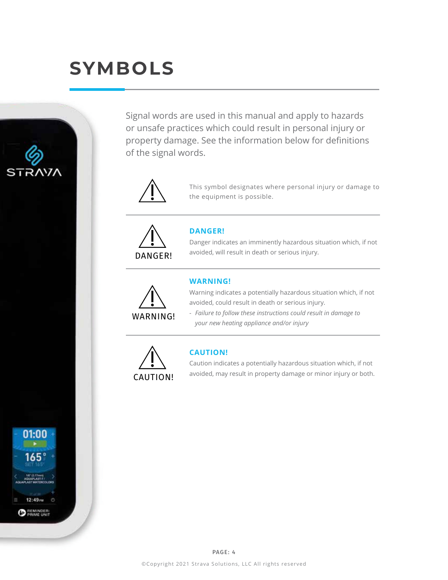# **SYMBOLS**



Signal words are used in this manual and apply to hazards or unsafe practices which could result in personal injury or property damage. See the information below for definitions of the signal words.



This symbol designates where personal injury or damage to the equipment is possible.



### **DANGER!**

Danger indicates an imminently hazardous situation which, if not avoided, will result in death or serious injury.



### **WARNING!**

Warning indicates a potentially hazardous situation which, if not avoided, could result in death or serious injury.

- *Failure to follow these instructions could result in damage to your new heating appliance and/or injury*



### **CAUTION!**

Caution indicates a potentially hazardous situation which, if not avoided, may result in property damage or minor injury or both.

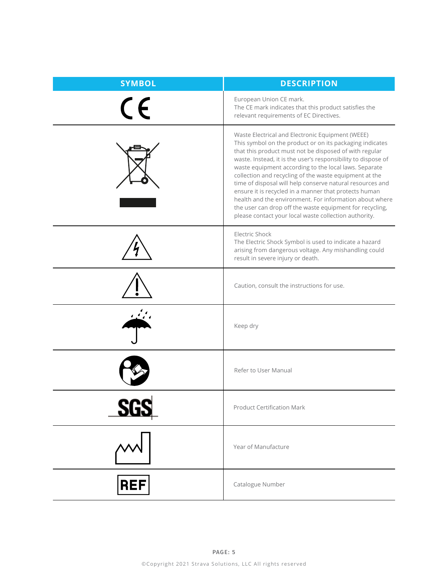| <b>SYMBOL</b> | <b>DESCRIPTION</b>                                                                                                                                                                                                                                                                                                                                                                                                                                                                                                                                                                                                                                               |
|---------------|------------------------------------------------------------------------------------------------------------------------------------------------------------------------------------------------------------------------------------------------------------------------------------------------------------------------------------------------------------------------------------------------------------------------------------------------------------------------------------------------------------------------------------------------------------------------------------------------------------------------------------------------------------------|
| $\epsilon$    | European Union CE mark.<br>The CE mark indicates that this product satisfies the<br>relevant requirements of EC Directives.                                                                                                                                                                                                                                                                                                                                                                                                                                                                                                                                      |
|               | Waste Electrical and Electronic Equipment (WEEE)<br>This symbol on the product or on its packaging indicates<br>that this product must not be disposed of with regular<br>waste. Instead, it is the user's responsibility to dispose of<br>waste equipment according to the local laws. Separate<br>collection and recycling of the waste equipment at the<br>time of disposal will help conserve natural resources and<br>ensure it is recycled in a manner that protects human<br>health and the environment. For information about where<br>the user can drop off the waste equipment for recycling,<br>please contact your local waste collection authority. |
|               | Electric Shock<br>The Electric Shock Symbol is used to indicate a hazard<br>arising from dangerous voltage. Any mishandling could<br>result in severe injury or death.                                                                                                                                                                                                                                                                                                                                                                                                                                                                                           |
|               | Caution, consult the instructions for use.                                                                                                                                                                                                                                                                                                                                                                                                                                                                                                                                                                                                                       |
|               | Keep dry                                                                                                                                                                                                                                                                                                                                                                                                                                                                                                                                                                                                                                                         |
|               | Refer to User Manual                                                                                                                                                                                                                                                                                                                                                                                                                                                                                                                                                                                                                                             |
|               | <b>Product Certification Mark</b>                                                                                                                                                                                                                                                                                                                                                                                                                                                                                                                                                                                                                                |
|               | Year of Manufacture                                                                                                                                                                                                                                                                                                                                                                                                                                                                                                                                                                                                                                              |
| <b>REF</b>    | Catalogue Number                                                                                                                                                                                                                                                                                                                                                                                                                                                                                                                                                                                                                                                 |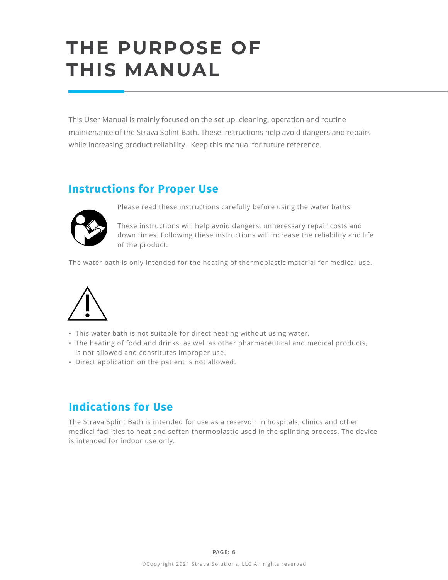# **THE PURPOSE OF THIS MANUAL**

This User Manual is mainly focused on the set up, cleaning, operation and routine maintenance of the Strava Splint Bath. These instructions help avoid dangers and repairs while increasing product reliability. Keep this manual for future reference.

## **Instructions for Proper Use**



Please read these instructions carefully before using the water baths.

These instructions will help avoid dangers, unnecessary repair costs and down times. Following these instructions will increase the reliability and life of the product.

The water bath is only intended for the heating of thermoplastic material for medical use.



- **•** This water bath is not suitable for direct heating without using water.
- **•** The heating of food and drinks, as well as other pharmaceutical and medical products, is not allowed and constitutes improper use.
- **•** Direct application on the patient is not allowed.

## **Indications for Use**

The Strava Splint Bath is intended for use as a reservoir in hospitals, clinics and other medical facilities to heat and soften thermoplastic used in the splinting process. The device is intended for indoor use only.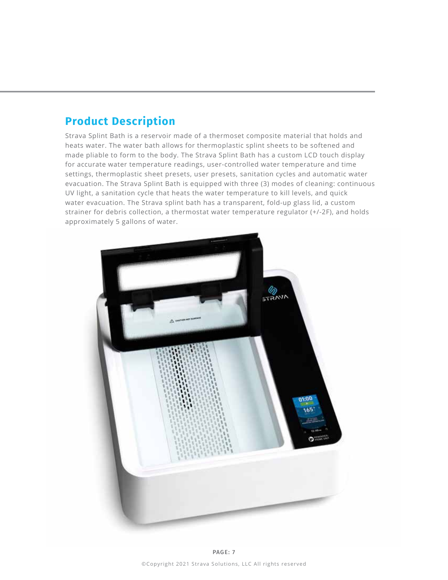## **Product Description**

Strava Splint Bath is a reservoir made of a thermoset composite material that holds and heats water. The water bath allows for thermoplastic splint sheets to be softened and made pliable to form to the body. The Strava Splint Bath has a custom LCD touch display for accurate water temperature readings, user-controlled water temperature and time settings, thermoplastic sheet presets, user presets, sanitation cycles and automatic water evacuation. The Strava Splint Bath is equipped with three (3) modes of cleaning: continuous UV light, a sanitation cycle that heats the water temperature to kill levels, and quick water evacuation. The Strava splint bath has a transparent, fold-up glass lid, a custom strainer for debris collection, a thermostat water temperature regulator (+/-2F), and holds approximately 5 gallons of water.

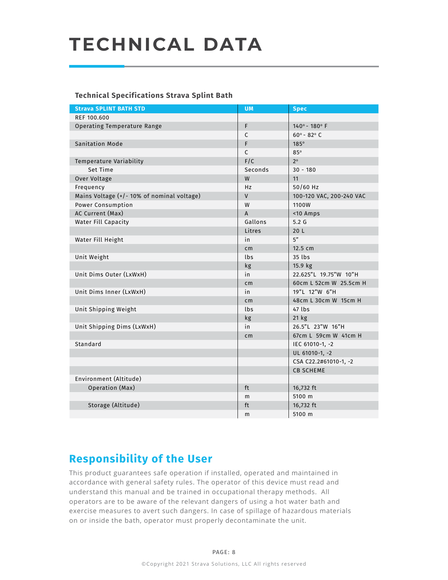# **TECHNICAL DATA**

### **Technical Specifications Strava Splint Bath**

| <b>Strava SPLINT BATH STD</b>             | <b>UM</b>                                | <b>Spec</b>            |  |
|-------------------------------------------|------------------------------------------|------------------------|--|
| REF 100,600                               |                                          |                        |  |
| Operating Temperature Range               | F                                        | 140° - 180° F          |  |
|                                           | $\mathsf{C}$                             | $60^{\circ}$ - 82° C   |  |
| <b>Sanitation Mode</b>                    | F                                        | 185°                   |  |
|                                           | $\mathsf{C}$                             | $85^\circ$             |  |
| Temperature Variability                   | F/C                                      | $2^{\circ}$            |  |
| Set Time                                  | Seconds                                  | $30 - 180$             |  |
| Over Voltage                              | W<br>11                                  |                        |  |
| Frequency                                 | Hz                                       | 50/60 Hz               |  |
| Mains Voltage (+/-10% of nominal voltage) | $\mathsf{V}$<br>100-120 VAC, 200-240 VAC |                        |  |
| Power Consumption                         | W                                        | 1100W                  |  |
| AC Current (Max)                          | $\mathsf{A}$                             | <10 Amps               |  |
| Water Fill Capacity                       | Gallons                                  | 5.2 <sub>G</sub>       |  |
|                                           | Litres                                   | 20 <sub>L</sub>        |  |
| Water Fill Height                         | in                                       | 5"                     |  |
|                                           | cm                                       | 12.5 cm                |  |
| Unit Weight                               | lbs                                      | 35 lbs                 |  |
|                                           | kg                                       | 15.9 kg                |  |
| Unit Dims Outer (LxWxH)                   | in                                       | 22.625"L 19.75"W 10"H  |  |
|                                           | cm                                       | 60cm L 52cm W 25.5cm H |  |
| Unit Dims Inner (LxWxH)                   | in                                       | 19"L 12"W 6"H          |  |
|                                           | cm                                       | 48cm L 30cm W 15cm H   |  |
| Unit Shipping Weight                      | lbs                                      | 47 lbs                 |  |
|                                           | kg                                       | $21$ kg                |  |
| Unit Shipping Dims (LxWxH)                | in                                       | 26.5"L 23"W 16"H       |  |
|                                           | cm                                       | 67cm L 59cm W 41cm H   |  |
| Standard                                  |                                          | IEC 61010-1, -2        |  |
|                                           |                                          | UL 61010-1, -2         |  |
|                                           |                                          | CSA C22.2#61010-1, -2  |  |
|                                           |                                          | <b>CB SCHEME</b>       |  |
| Environment (Altitude)                    |                                          |                        |  |
| Operation (Max)                           | ft                                       | 16,732 ft              |  |
|                                           | m                                        | 5100 m                 |  |
| Storage (Altitude)                        | ft                                       | 16,732 ft              |  |
|                                           | m                                        | 5100 m                 |  |
|                                           |                                          |                        |  |

## **Responsibility of the User**

This product guarantees safe operation if installed, operated and maintained in accordance with general safety rules. The operator of this device must read and understand this manual and be trained in occupational therapy methods. All operators are to be aware of the relevant dangers of using a hot water bath and exercise measures to avert such dangers. In case of spillage of hazardous materials on or inside the bath, operator must properly decontaminate the unit.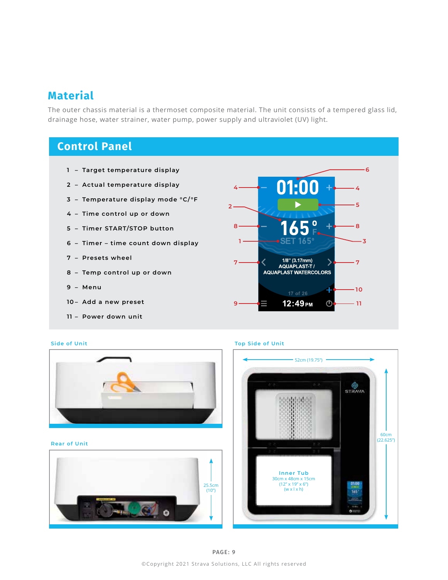### **Material**

The outer chassis material is a thermoset composite material. The unit consists of a tempered glass lid, drainage hose, water strainer, water pump, power supply and ultraviolet (UV) light.

## **Control Panel**

- **– Target temperature display**
- **– Actual temperature display**
- **– Temperature display mode °C/°F**
- **– Time control up or down**
- **– Timer START/STOP button**
- **– Timer time count down display**
- **– Presets wheel**
- **– Temp control up or down**
- **– Menu**
- **– Add a new preset**
- **– Power down unit**



#### **Side of Unit Top Side of Unit**



#### **Rear of Unit**



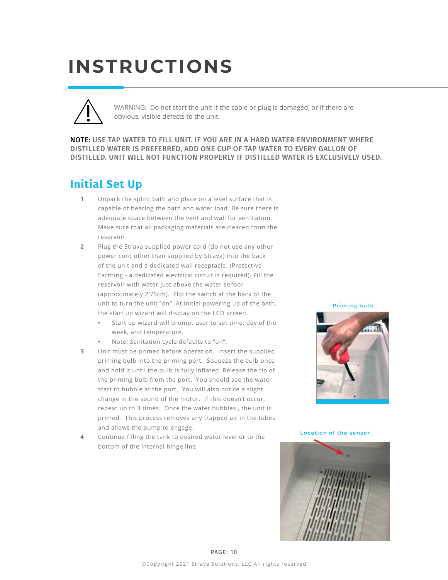# **INSTRUCTIONS**



WARNING: Do not start the unit if the cable or plug is damaged, or if there are obvious, visible defects to the unit.

NOTE: USE TAP WATER TO FILL UNIT. IF YOU ARE IN A HARD WATER ENVIRONMENT WHERE DISTILLED WATER IS PREFERRED, ADD ONE CUP OF TAP WATER TO EVERY GALLON OF DISTILLED. UNIT WILL NOT FUNCTION PROPERLY IF DISTILLED WATER IS EXCLUSIVELY USED.

## **Initial Set Up**

- **1** Unpack the splint bath and place on a level surface that is capable of bearing the bath and water load. Be sure there is adequate space between the vent and wall for ventilation. Make sure that all packaging materials are cleared from the reservoir.
- **2** Plug the Strava supplied power cord (do not use any other power cord other than supplied by Strava) into the back of the unit and a dedicated wall receptacle. (Protective Earthing - a dedicated electrical circuit is required). Fill the reservoir with water just above the water sensor (approximately 2"/5cm). Flip the switch at the back of the unit to turn the unit "on". At initial powering up of the bath, the start up wizard will display on the LCD screen.
	- **•** Start up wizard will prompt user to set time, day of the week, and temperature.
	- **•** Note: Sanitation cycle defaults to "on".
- **3** Unit must be primed before operation. Insert the supplied priming bulb into the priming port. Squeeze the bulb once and hold it until the bulb is fully inflated. Release the tip of the priming bulb from the port. You should see the water start to bubble at the port. You will also notice a slight change in the sound of the motor. If this doesn't occur, repeat up to 3 times. Once the water bubbles , the unit is primed. This process removes any trapped air in the tubes and allows the pump to engage.
- **4** Continue filling the tank to desired water level or to the bottom of the internal hinge line.

**Priming bulb**



**Location of the sensor**

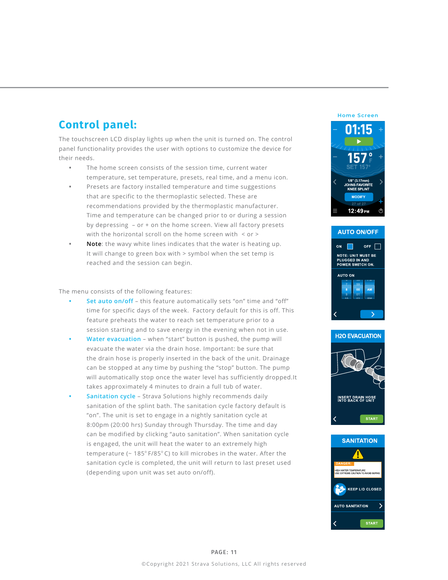## **Control panel:**

The touchscreen LCD display lights up when the unit is turned on. The control panel functionality provides the user with options to customize the device for their needs.

- **•** The home screen consists of the session time, current water temperature, set temperature, presets, real time, and a menu icon.
- **•** Presets are factory installed temperature and time suggestions that are specific to the thermoplastic selected. These are recommendations provided by the thermoplastic manufacturer. Time and temperature can be changed prior to or during a session by depressing – or + on the home screen. View all factory presets with the horizontal scroll on the home screen with  $\leq$  or  $\geq$
- **• Note**: the wavy white lines indicates that the water is heating up. It will change to green box with > symbol when the set temp is reached and the session can begin.

#### The menu consists of the following features:

- **• Set auto on/off** this feature automatically sets "on" time and "off" time for specific days of the week. Factory default for this is off. This feature preheats the water to reach set temperature prior to a session starting and to save energy in the evening when not in use.
- **• Water evacuation** when "start" button is pushed, the pump will evacuate the water via the drain hose. Important: be sure that the drain hose is properly inserted in the back of the unit. Drainage can be stopped at any time by pushing the "stop" button. The pump will automatically stop once the water level has sufficiently dropped.It takes approximately 4 minutes to drain a full tub of water.
- **Sanitation cycle** Strava Solutions highly recommends daily sanitation of the splint bath. The sanitation cycle factory default is "on". The unit is set to engage in a nightly sanitation cycle at 8:00pm (20:00 hrs) Sunday through Thursday. The time and day can be modified by clicking "auto sanitation". When sanitation cycle is engaged, the unit will heat the water to an extremely high temperature ( $\sim 185^\circ$  F/85 $^\circ$ C) to kill microbes in the water. After the sanitation cycle is completed, the unit will return to last preset used (depending upon unit was set auto on/off).

# **Home ScreenORITE** ..............<br>KNEE SPI INT 12:49<sub>PM</sub>





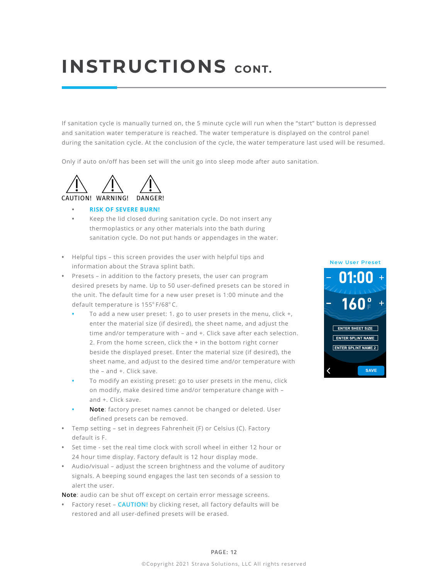# **INSTRUCTIONS CONT.**

If sanitation cycle is manually turned on, the 5 minute cycle will run when the "start" button is depressed and sanitation water temperature is reached. The water temperature is displayed on the control panel during the sanitation cycle. At the conclusion of the cycle, the water temperature last used will be resumed.

Only if auto on/off has been set will the unit go into sleep mode after auto sanitation.



#### **• RISK OF SEVERE BURN!**

- **•** Keep the lid closed during sanitation cycle. Do not insert any thermoplastics or any other materials into the bath during sanitation cycle. Do not put hands or appendages in the water.
- **•** Helpful tips this screen provides the user with helpful tips and information about the Strava splint bath.
- **•** Presets in addition to the factory presets, the user can program desired presets by name. Up to 50 user-defined presets can be stored in the unit. The default time for a new user preset is 1:00 minute and the default temperature is 155° F/68° C.
	- **•** To add a new user preset: 1. go to user presets in the menu, click +, enter the material size (if desired), the sheet name, and adjust the time and/or temperature with – and +. Click save after each selection. 2. From the home screen, click the + in the bottom right corner beside the displayed preset. Enter the material size (if desired), the sheet name, and adjust to the desired time and/or temperature with the – and +. Click save.
	- **•** To modify an existing preset: go to user presets in the menu, click on modify, make desired time and/or temperature change with – and +. Click save.
	- **• Note**: factory preset names cannot be changed or deleted. User defined presets can be removed.
- **•** Temp setting set in degrees Fahrenheit (F) or Celsius (C). Factory default is F.
- **•** Set time set the real time clock with scroll wheel in either 12 hour or 24 hour time display. Factory default is 12 hour display mode.
- **•** Audio/visual adjust the screen brightness and the volume of auditory signals. A beeping sound engages the last ten seconds of a session to alert the user.

**Note**: audio can be shut off except on certain error message screens.

**•** Factory reset – **CAUTION!** by clicking reset, all factory defaults will be restored and all user-defined presets will be erased.



#### PAGE: 12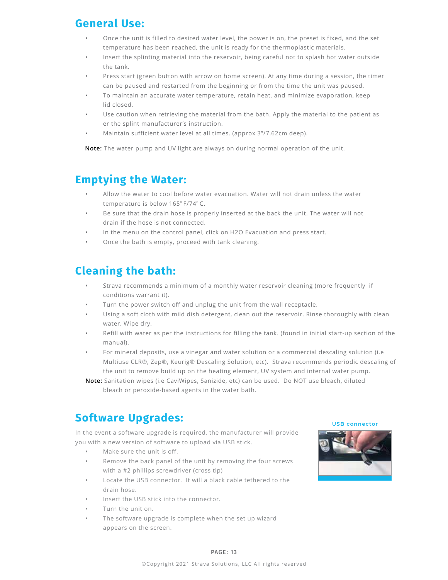## **General Use:**

- **•** Once the unit is filled to desired water level, the power is on, the preset is fixed, and the set temperature has been reached, the unit is ready for the thermoplastic materials.
- Insert the splinting material into the reservoir, being careful not to splash hot water outside the tank.
- Press start (green button with arrow on home screen). At any time during a session, the timer can be paused and restarted from the beginning or from the time the unit was paused.
- To maintain an accurate water temperature, retain heat, and minimize evaporation, keep lid closed.
- Use caution when retrieving the material from the bath. Apply the material to the patient as er the splint manufacturer's instruction.
- Maintain sufficient water level at all times. (approx 3"/7.62cm deep).

**Note:** The water pump and UV light are always on during normal operation of the unit.

## **Emptying the Water:**

- **•** Allow the water to cool before water evacuation. Water will not drain unless the water temperature is below 165°F/74°C.
- **•** Be sure that the drain hose is properly inserted at the back the unit. The water will not drain if the hose is not connected.
- **•** In the menu on the control panel, click on H2O Evacuation and press start.
- **•** Once the bath is empty, proceed with tank cleaning.

## **Cleaning the bath:**

- **•** Strava recommends a minimum of a monthly water reservoir cleaning (more frequently if conditions warrant it).
- Turn the power switch off and unplug the unit from the wall receptacle.
- Using a soft cloth with mild dish detergent, clean out the reservoir. Rinse thoroughly with clean water. Wipe dry.
- Refill with water as per the instructions for filling the tank. (found in initial start-up section of the manual).
- For mineral deposits, use a vinegar and water solution or a commercial descaling solution (i.e Multiuse CLR®, Zep®, Keurig® Descaling Solution, etc). Strava recommends periodic descaling of the unit to remove build up on the heating element, UV system and internal water pump.
- **Note:** Sanitation wipes (i.e CaviWipes, Sanizide, etc) can be used. Do NOT use bleach, diluted bleach or peroxide-based agents in the water bath.

## **Software Upgrades:**

In the event a software upgrade is required, the manufacturer will provide you with a new version of software to upload via USB stick.

- **•** Make sure the unit is off.
- **•** Remove the back panel of the unit by removing the four screws with a #2 phillips screwdriver (cross tip)
- **•** Locate the USB connector. It will a black cable tethered to the drain hose.
- **•** Insert the USB stick into the connector.
- **•** Turn the unit on.
- **•** The software upgrade is complete when the set up wizard appears on the screen.



#### PAGE: 13

#### ©Copyright 2021 Strava Solutions, LLC All rights reserved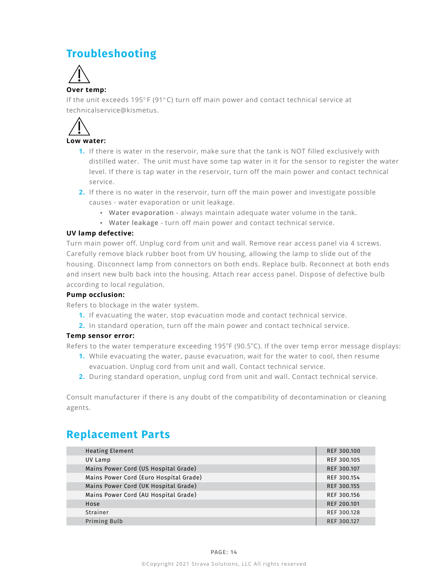## **Troubleshooting**



### **Over temp:**

If the unit exceeds 195 $^{\circ}$  F (91 $^{\circ}$ C) turn off main power and contact technical service at technicalservice@kismetus.



### **Low water:**

- **1.** If there is water in the reservoir, make sure that the tank is NOT filled exclusively with distilled water. The unit must have some tap water in it for the sensor to register the water level. If there is tap water in the reservoir, turn off the main power and contact technical service.
- **2.** If there is no water in the reservoir, turn off the main power and investigate possible causes - water evaporation or unit leakage.
	- **• Water evaporation** always maintain adequate water volume in the tank.
	- **Water leakage** turn off main power and contact technical service.

### **UV lamp defective:**

Turn main power off. Unplug cord from unit and wall. Remove rear access panel via 4 screws. Carefully remove black rubber boot from UV housing, allowing the lamp to slide out of the housing. Disconnect lamp from connectors on both ends. Replace bulb. Reconnect at both ends and insert new bulb back into the housing. Attach rear access panel. Dispose of defective bulb according to local regulation.

### **Pump occlusion:**

Refers to blockage in the water system.

- **1.** If evacuating the water, stop evacuation mode and contact technical service.
- **2.** In standard operation, turn off the main power and contact technical service.

### **Temp sensor error:**

Refers to the water temperature exceeding  $195^{\circ}F(90.5^{\circ}C)$ . If the over temp error message displays:

- **1.** While evacuating the water, pause evacuation, wait for the water to cool, then resume evacuation. Unplug cord from unit and wall. Contact technical service.
- **2.** During standard operation, unplug cord from unit and wall. Contact technical service.

Consult manufacturer if there is any doubt of the compatibility of decontamination or cleaning agents.

## **Replacement Parts**

| <b>Heating Element</b>                 | REF 300.100 |
|----------------------------------------|-------------|
| UV Lamp                                | REF 300.105 |
| Mains Power Cord (US Hospital Grade)   | REF 300.107 |
| Mains Power Cord (Euro Hospital Grade) | REF 300.154 |
| Mains Power Cord (UK Hospital Grade)   | REF 300.155 |
| Mains Power Cord (AU Hospital Grade)   | REF 300.156 |
| Hose                                   | REF 200.101 |
| Strainer                               | REF 300.128 |
| Priming Bulb                           | REF 300.127 |
|                                        |             |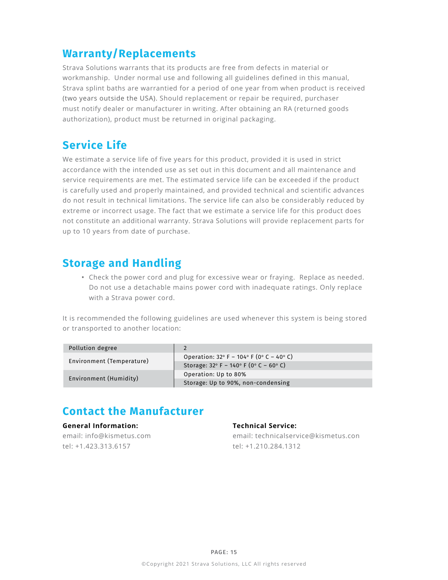## **Warranty/Replacements**

Strava Solutions warrants that its products are free from defects in material or workmanship. Under normal use and following all guidelines defined in this manual, Strava splint baths are warrantied for a period of one year from when product is received (two years outside the USA). Should replacement or repair be required, purchaser must notify dealer or manufacturer in writing. After obtaining an RA (returned goods authorization), product must be returned in original packaging.

## **Service Life**

We estimate a service life of five years for this product, provided it is used in strict accordance with the intended use as set out in this document and all maintenance and service requirements are met. The estimated service life can be exceeded if the product is carefully used and properly maintained, and provided technical and scientific advances do not result in technical limitations. The service life can also be considerably reduced by extreme or incorrect usage. The fact that we estimate a service life for this product does not constitute an additional warranty. Strava Solutions will provide replacement parts for up to 10 years from date of purchase.

### **Storage and Handling**

**•** Check the power cord and plug for excessive wear or fraying. Replace as needed. Do not use a detachable mains power cord with inadequate ratings. Only replace with a Strava power cord.

It is recommended the following guidelines are used whenever this system is being stored or transported to another location:

| Pollution degree          |                                                                                |
|---------------------------|--------------------------------------------------------------------------------|
| Environment (Temperature) | Operation: $32^{\circ}$ F – $104^{\circ}$ F (0 $^{\circ}$ C – 40 $^{\circ}$ C) |
|                           | Storage: $32^{\circ}$ F - 140° F (0° C - 60° C)                                |
| Environment (Humidity)    | Operation: Up to 80%                                                           |
|                           | Storage: Up to 90%, non-condensing                                             |

## **Contact the Manufacturer**

### **General Information:**

email: info@kismetus.com tel: +1.423.313.6157

### **Technical Service:**

email: technicalservice@kismetus.con tel: +1.210.284.1312